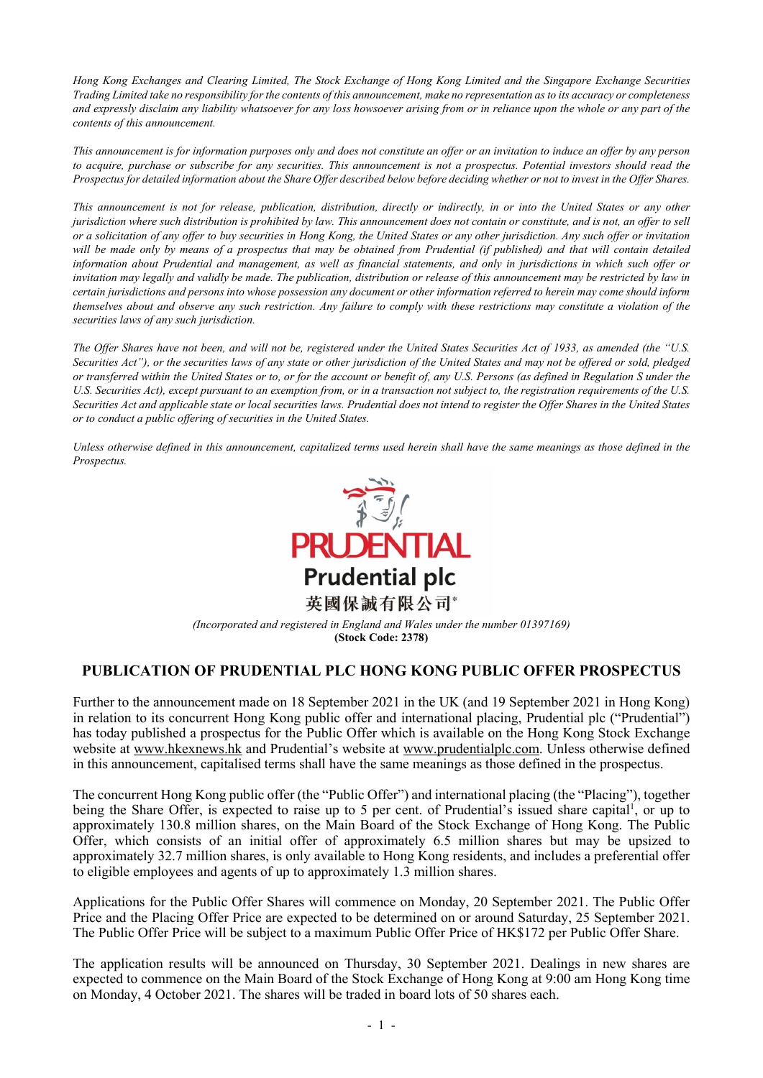*Hong Kong Exchanges and Clearing Limited, The Stock Exchange of Hong Kong Limited and the Singapore Exchange Securities Trading Limited take no responsibility for the contents of this announcement, make no representation as to its accuracy or completeness and expressly disclaim any liability whatsoever for any loss howsoever arising from or in reliance upon the whole or any part of the contents of this announcement.*

*This announcement is for information purposes only and does not constitute an offer or an invitation to induce an offer by any person to acquire, purchase or subscribe for any securities. This announcement is not a prospectus. Potential investors should read the Prospectus for detailed information about the Share Offer described below before deciding whether or not to invest in the Offer Shares.*

*This announcement is not for release, publication, distribution, directly or indirectly, in or into the United States or any other jurisdiction where such distribution is prohibited by law. This announcement does not contain or constitute, and is not, an offer to sell or a solicitation of any offer to buy securities in Hong Kong, the United States or any other jurisdiction. Any such offer or invitation*  will be made only by means of a prospectus that may be obtained from Prudential (if published) and that will contain detailed *information about Prudential and management, as well as financial statements, and only in jurisdictions in which such offer or*  invitation may legally and validly be made. The publication, distribution or release of this announcement may be restricted by law in *certain jurisdictions and persons into whose possession any document or other information referred to herein may come should inform themselves about and observe any such restriction. Any failure to comply with these restrictions may constitute a violation of the securities laws of any such jurisdiction.*

*The Offer Shares have not been, and will not be, registered under the United States Securities Act of 1933, as amended (the "U.S. Securities Act"), or the securities laws of any state or other jurisdiction of the United States and may not be offered or sold, pledged or transferred within the United States or to, or for the account or benefit of, any U.S. Persons (as defined in Regulation S under the U.S. Securities Act), except pursuant to an exemption from, or in a transaction not subject to, the registration requirements of the U.S. Securities Act and applicable state or local securities laws. Prudential does not intend to register the Offer Shares in the United States or to conduct a public offering of securities in the United States.*

*Unless otherwise defined in this announcement, capitalized terms used herein shall have the same meanings as those defined in the Prospectus.*



*(Incorporated and registered in England and Wales under the number 01397169)* **(Stock Code: 2378)**

# **PUBLICATION OF PRUDENTIAL PLC HONG KONG PUBLIC OFFER PROSPECTUS**

Further to the announcement made on 18 September 2021 in the UK (and 19 September 2021 in Hong Kong) in relation to its concurrent Hong Kong public offer and international placing, Prudential plc ("Prudential") has today published a prospectus for the Public Offer which is available on the Hong Kong Stock Exchange website at www.hkexnews.hk and Prudential's website at www.prudentialplc.com. Unless otherwise defined in this announcement, capitalised terms shall have the same meanings as those defined in the prospectus.

The concurrent Hong Kong public offer (the "Public Offer") and international placing (the "Placing"), together being the Share Offer, is expected to raise up to 5 per cent. of Prudential's issued share capital<sup>1</sup>, or up to approximately 130.8 million shares, on the Main Board of the Stock Exchange of Hong Kong. The Public Offer, which consists of an initial offer of approximately 6.5 million shares but may be upsized to approximately 32.7 million shares, is only available to Hong Kong residents, and includes a preferential offer to eligible employees and agents of up to approximately 1.3 million shares.

Applications for the Public Offer Shares will commence on Monday, 20 September 2021. The Public Offer Price and the Placing Offer Price are expected to be determined on or around Saturday, 25 September 2021. The Public Offer Price will be subject to a maximum Public Offer Price of HK\$172 per Public Offer Share.

The application results will be announced on Thursday, 30 September 2021. Dealings in new shares are expected to commence on the Main Board of the Stock Exchange of Hong Kong at 9:00 am Hong Kong time on Monday, 4 October 2021. The shares will be traded in board lots of 50 shares each.